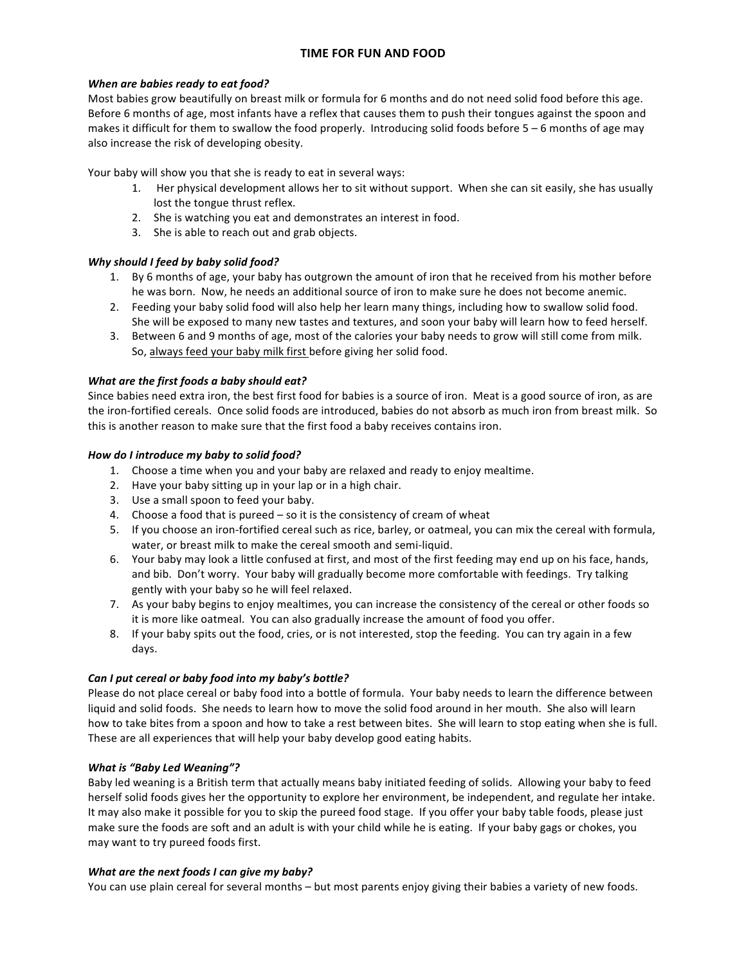# **TIME FOR FUN AND FOOD**

### *When are babies ready to eat food?*

Most babies grow beautifully on breast milk or formula for 6 months and do not need solid food before this age. Before 6 months of age, most infants have a reflex that causes them to push their tongues against the spoon and makes it difficult for them to swallow the food properly. Introducing solid foods before  $5 - 6$  months of age may also increase the risk of developing obesity.

Your baby will show you that she is ready to eat in several ways:

- 1. Her physical development allows her to sit without support. When she can sit easily, she has usually lost the tongue thrust reflex.
- 2. She is watching you eat and demonstrates an interest in food.
- 3. She is able to reach out and grab objects.

## Why should I feed by baby solid food?

- 1. By 6 months of age, your baby has outgrown the amount of iron that he received from his mother before he was born. Now, he needs an additional source of iron to make sure he does not become anemic.
- 2. Feeding your baby solid food will also help her learn many things, including how to swallow solid food. She will be exposed to many new tastes and textures, and soon your baby will learn how to feed herself.
- 3. Between 6 and 9 months of age, most of the calories your baby needs to grow will still come from milk. So, always feed your baby milk first before giving her solid food.

## *What are the first foods a baby should eat?*

Since babies need extra iron, the best first food for babies is a source of iron. Meat is a good source of iron, as are the iron-fortified cereals. Once solid foods are introduced, babies do not absorb as much iron from breast milk. So this is another reason to make sure that the first food a baby receives contains iron.

#### How do I introduce my baby to solid food?

- 1. Choose a time when you and your baby are relaxed and ready to enjoy mealtime.
- 2. Have your baby sitting up in your lap or in a high chair.
- 3. Use a small spoon to feed your baby.
- 4. Choose a food that is pureed  $-$  so it is the consistency of cream of wheat
- 5. If you choose an iron-fortified cereal such as rice, barley, or oatmeal, you can mix the cereal with formula, water, or breast milk to make the cereal smooth and semi-liquid.
- 6. Your baby may look a little confused at first, and most of the first feeding may end up on his face, hands, and bib. Don't worry. Your baby will gradually become more comfortable with feedings. Try talking gently with your baby so he will feel relaxed.
- 7. As your baby begins to enjoy mealtimes, you can increase the consistency of the cereal or other foods so it is more like oatmeal. You can also gradually increase the amount of food you offer.
- 8. If your baby spits out the food, cries, or is not interested, stop the feeding. You can try again in a few days.

#### Can I put cereal or baby food into my baby's bottle?

Please do not place cereal or baby food into a bottle of formula. Your baby needs to learn the difference between liquid and solid foods. She needs to learn how to move the solid food around in her mouth. She also will learn how to take bites from a spoon and how to take a rest between bites. She will learn to stop eating when she is full. These are all experiences that will help your baby develop good eating habits.

#### *What is* "Baby Led Weaning"?

Baby led weaning is a British term that actually means baby initiated feeding of solids. Allowing your baby to feed herself solid foods gives her the opportunity to explore her environment, be independent, and regulate her intake. It may also make it possible for you to skip the pureed food stage. If you offer your baby table foods, please just make sure the foods are soft and an adult is with your child while he is eating. If your baby gags or chokes, you may want to try pureed foods first.

#### *What are the next foods I can give my baby?*

You can use plain cereal for several months – but most parents enjoy giving their babies a variety of new foods.